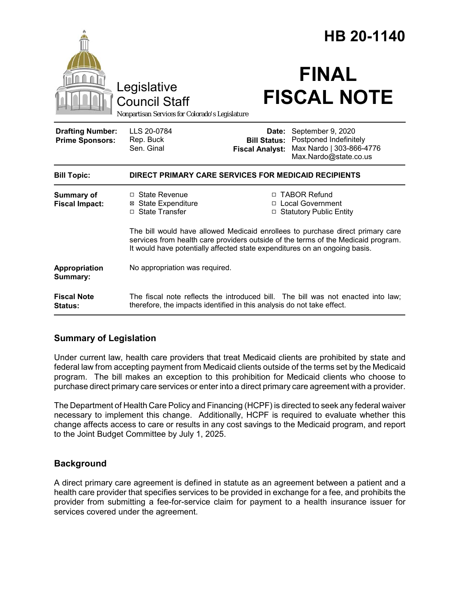| Legislative<br><b>Council Staff</b>               |                                                                                                                                                                                                                                                   |                                                        | HB 20-1140<br><b>FINAL</b><br><b>FISCAL NOTE</b>                                                 |  |
|---------------------------------------------------|---------------------------------------------------------------------------------------------------------------------------------------------------------------------------------------------------------------------------------------------------|--------------------------------------------------------|--------------------------------------------------------------------------------------------------|--|
|                                                   | Nonpartisan Services for Colorado's Legislature                                                                                                                                                                                                   |                                                        |                                                                                                  |  |
| <b>Drafting Number:</b><br><b>Prime Sponsors:</b> | LLS 20-0784<br>Rep. Buck<br>Sen. Ginal                                                                                                                                                                                                            | Date:<br><b>Bill Status:</b><br><b>Fiscal Analyst:</b> | September 9, 2020<br>Postponed Indefinitely<br>Max Nardo   303-866-4776<br>Max.Nardo@state.co.us |  |
| <b>Bill Topic:</b>                                | DIRECT PRIMARY CARE SERVICES FOR MEDICAID RECIPIENTS                                                                                                                                                                                              |                                                        |                                                                                                  |  |
| <b>Summary of</b><br><b>Fiscal Impact:</b>        | □ State Revenue<br>⊠ State Expenditure<br>□ State Transfer                                                                                                                                                                                        |                                                        | □ TABOR Refund<br>□ Local Government<br>□ Statutory Public Entity                                |  |
|                                                   | The bill would have allowed Medicaid enrollees to purchase direct primary care<br>services from health care providers outside of the terms of the Medicaid program.<br>It would have potentially affected state expenditures on an ongoing basis. |                                                        |                                                                                                  |  |
| Appropriation<br>Summary:                         | No appropriation was required.                                                                                                                                                                                                                    |                                                        |                                                                                                  |  |
| <b>Fiscal Note</b><br>Status:                     | therefore, the impacts identified in this analysis do not take effect.                                                                                                                                                                            |                                                        | The fiscal note reflects the introduced bill. The bill was not enacted into law;                 |  |

# **Summary of Legislation**

Under current law, health care providers that treat Medicaid clients are prohibited by state and federal law from accepting payment from Medicaid clients outside of the terms set by the Medicaid program. The bill makes an exception to this prohibition for Medicaid clients who choose to purchase direct primary care services or enter into a direct primary care agreement with a provider.

The Department of Health Care Policy and Financing (HCPF) is directed to seek any federal waiver necessary to implement this change. Additionally, HCPF is required to evaluate whether this change affects access to care or results in any cost savings to the Medicaid program, and report to the Joint Budget Committee by July 1, 2025.

# **Background**

A direct primary care agreement is defined in statute as an agreement between a patient and a health care provider that specifies services to be provided in exchange for a fee, and prohibits the provider from submitting a fee-for-service claim for payment to a health insurance issuer for services covered under the agreement.